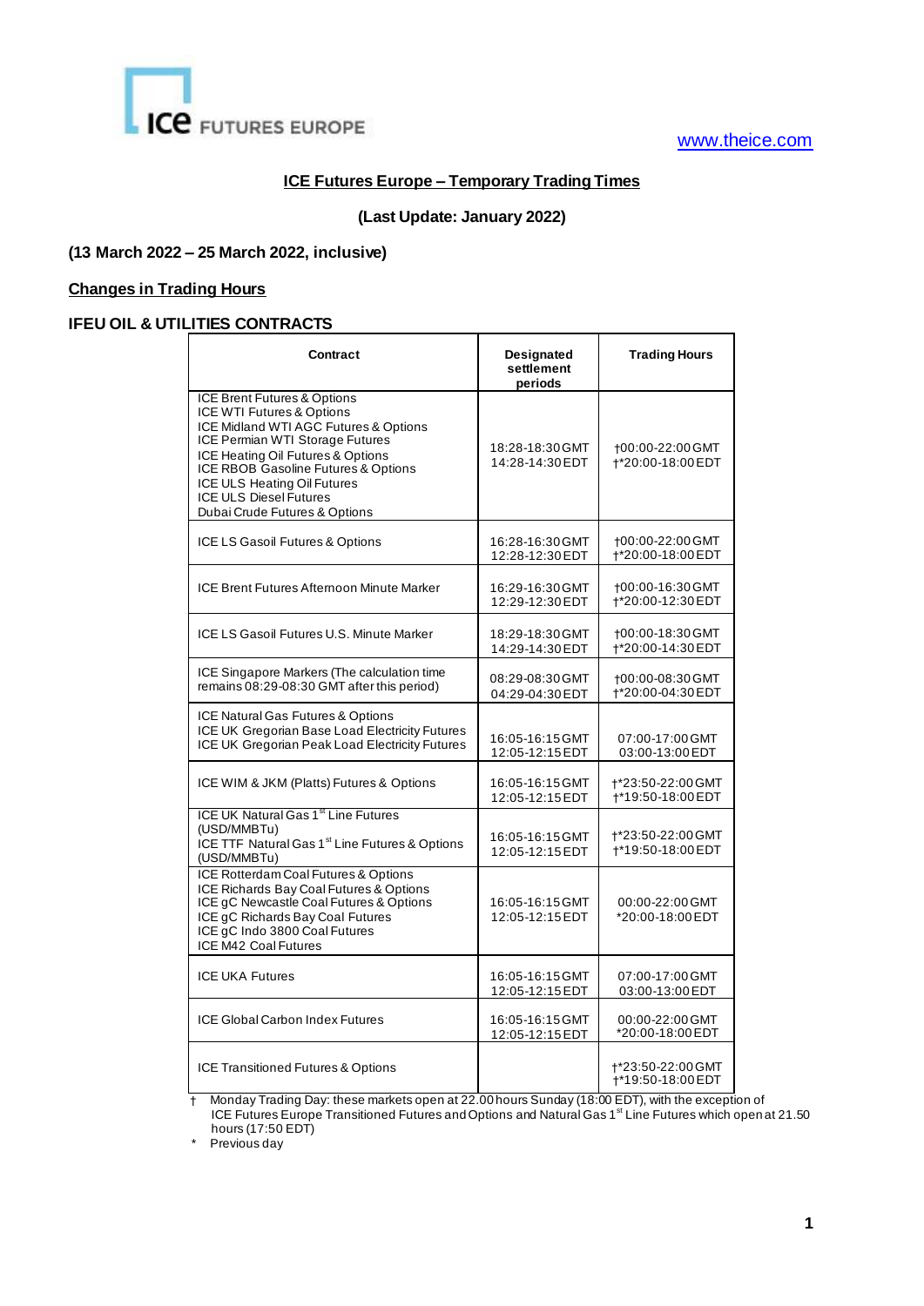

## [www.theice.com](file:///C:/Users/prattray/Desktop/www.theice.com)

### **ICE Futures Europe – Temporary Trading Times**

### **(Last Update: January 2022)**

#### **(13 March 2022 – 25 March 2022, inclusive)**

#### **Changes in Trading Hours**

# **IFEU OIL & UTILITIES CONTRACTS**

| Contract                                                                                                                                                                                                                                                                                                          | Designated<br>settlement<br>periods | <b>Trading Hours</b>                   |
|-------------------------------------------------------------------------------------------------------------------------------------------------------------------------------------------------------------------------------------------------------------------------------------------------------------------|-------------------------------------|----------------------------------------|
| ICE Brent Futures & Options<br>ICE WTI Futures & Options<br>ICE Midland WTI AGC Futures & Options<br>ICE Permian WTI Storage Futures<br>ICE Heating Oil Futures & Options<br>ICE RBOB Gasoline Futures & Options<br>ICE ULS Heating Oil Futures<br><b>ICE ULS Diesel Futures</b><br>Dubai Crude Futures & Options | 18:28-18:30 GMT<br>14:28-14:30 EDT  | +00:00-22:00 GMT<br>+*20:00-18:00 EDT  |
| ICE LS Gasoil Futures & Options                                                                                                                                                                                                                                                                                   | 16:28-16:30 GMT<br>12:28-12:30 EDT  | +00:00-22:00 GMT<br>+*20:00-18:00 EDT  |
| ICE Brent Futures Afternoon Minute Marker                                                                                                                                                                                                                                                                         | 16:29-16:30 GMT<br>12:29-12:30 EDT  | +00:00-16:30 GMT<br>+*20:00-12:30 EDT  |
| ICE LS Gasoil Futures U.S. Minute Marker                                                                                                                                                                                                                                                                          | 18:29-18:30 GMT<br>14:29-14:30 EDT  | +00:00-18:30 GMT<br>+*20:00-14:30 EDT  |
| ICE Singapore Markers (The calculation time<br>remains 08:29-08:30 GMT after this period)                                                                                                                                                                                                                         | 08:29-08:30 GMT<br>04:29-04:30 EDT  | +00:00-08:30 GMT<br>+*20:00-04:30 EDT  |
| ICE Natural Gas Futures & Options<br>ICE UK Gregorian Base Load Electricity Futures<br>ICE UK Gregorian Peak Load Electricity Futures                                                                                                                                                                             | 16:05-16:15 GMT<br>12:05-12:15 EDT  | 07:00-17:00 GMT<br>03:00-13:00 EDT     |
| ICE WIM & JKM (Platts) Futures & Options                                                                                                                                                                                                                                                                          | 16:05-16:15 GMT<br>12:05-12:15 EDT  | +*23:50-22:00 GMT<br>+*19:50-18:00 EDT |
| ICE UK Natural Gas 1 <sup>st</sup> Line Futures<br>(USD/MMBTu)<br>ICE TTF Natural Gas 1 <sup>st</sup> Line Futures & Options<br>(USD/MMBTu)                                                                                                                                                                       | 16:05-16:15 GMT<br>12:05-12:15 EDT  | t*23:50-22:00 GMT<br>†*19:50-18:00 EDT |
| ICE Rotterdam Coal Futures & Options<br>ICE Richards Bay Coal Futures & Options<br>ICE gC Newcastle Coal Futures & Options<br>ICE gC Richards Bay Coal Futures<br>ICE gC Indo 3800 Coal Futures<br>ICE M42 Coal Futures                                                                                           | 16:05-16:15 GMT<br>12:05-12:15 EDT  | 00:00-22:00 GMT<br>*20:00-18:00 EDT    |
| <b>ICE UKA Futures</b>                                                                                                                                                                                                                                                                                            | 16:05-16:15 GMT<br>12:05-12:15 EDT  | 07:00-17:00 GMT<br>03:00-13:00 EDT     |
| <b>ICE Global Carbon Index Futures</b>                                                                                                                                                                                                                                                                            | 16:05-16:15 GMT<br>12:05-12:15 EDT  | 00:00-22:00 GMT<br>*20:00-18:00 EDT    |
| <b>ICE Transitioned Futures &amp; Options</b>                                                                                                                                                                                                                                                                     |                                     | +*23:50-22:00 GMT<br>+*19:50-18:00 EDT |

 † Monday Trading Day: these markets open at 22.00 hours Sunday (18:00 EDT), with the exception of ICE Futures Europe Transitioned Futures and Options and Natural Gas 1<sup>st</sup> Line Futures which open at 21.50 hours (17:50 EDT)

\* Previous day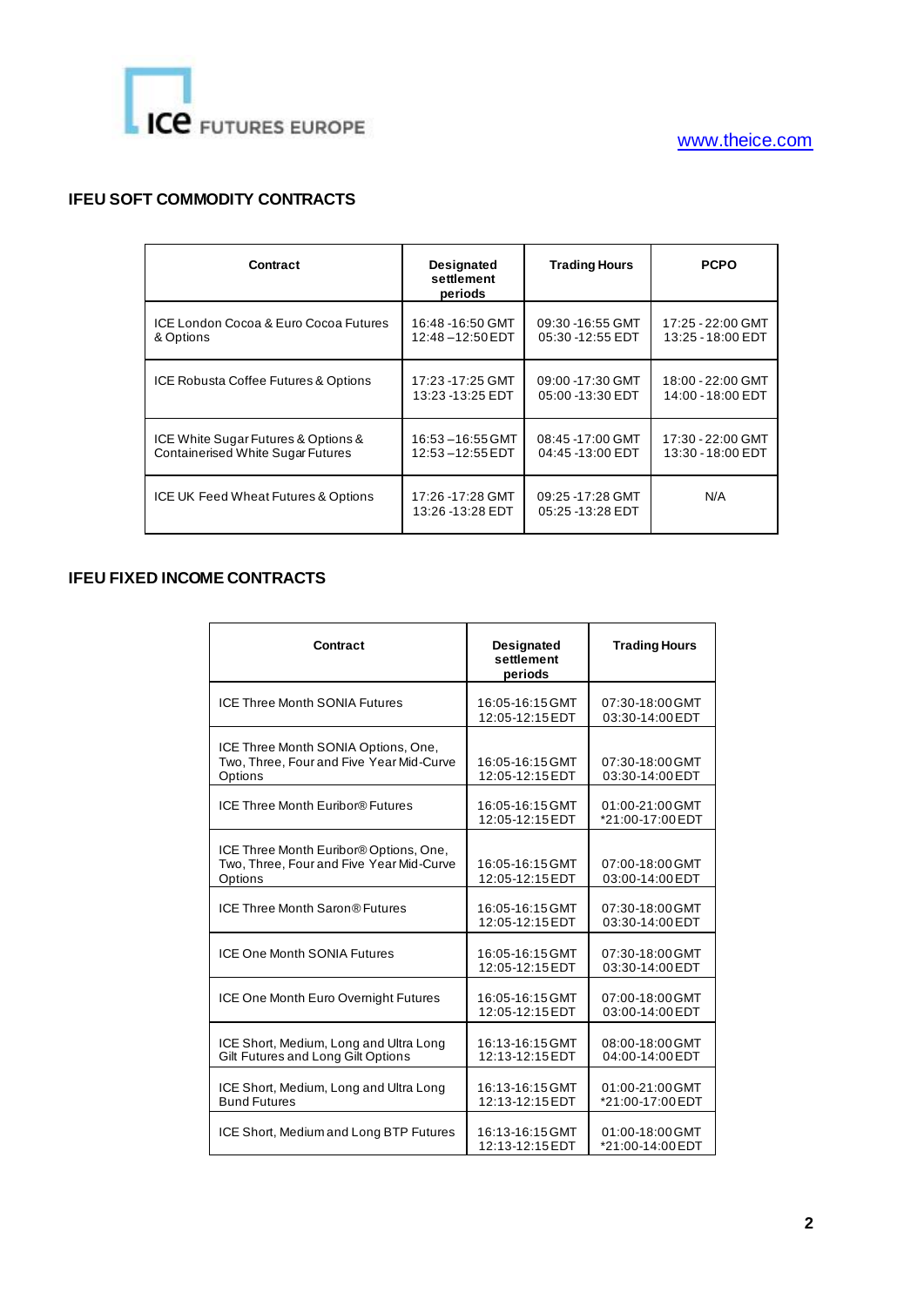

## **IFEU SOFT COMMODITY CONTRACTS**

| Contract                                 | <b>Designated</b><br>settlement<br>periods | <b>Trading Hours</b>                  | <b>PCPO</b>       |
|------------------------------------------|--------------------------------------------|---------------------------------------|-------------------|
| ICE London Cocoa & Euro Cocoa Futures    | 16:48 -16:50 GMT                           | 09:30 -16:55 GMT                      | 17:25 - 22:00 GMT |
| & Options                                | 12:48-12:50 EDT                            | 05:30 -12:55 EDT                      | 13:25 - 18:00 EDT |
| ICE Robusta Coffee Futures & Options     | 17:23 - 17:25 GMT                          | 09:00 -17:30 GMT                      | 18:00 - 22:00 GMT |
|                                          | 13:23 - 13:25 EDT                          | 05:00 -13:30 EDT                      | 14:00 - 18:00 EDT |
| ICE White Sugar Futures & Options &      | 16:53-16:55 GMT                            | 08:45 -17:00 GMT                      | 17:30 - 22:00 GMT |
| <b>Containerised White Sugar Futures</b> | $12:53 - 12:55 EDT$                        | 04:45 -13:00 EDT                      | 13:30 - 18:00 EDT |
| ICE UK Feed Wheat Futures & Options      | 17:26 -17:28 GMT<br>13:26 -13:28 EDT       | 09:25 -17:28 GMT<br>05:25 - 13:28 EDT | N/A               |

## **IFEU FIXED INCOME CONTRACTS**

| Contract                                                                                      | <b>Designated</b><br>settlement<br>periods | <b>Trading Hours</b>                |
|-----------------------------------------------------------------------------------------------|--------------------------------------------|-------------------------------------|
| <b>ICE Three Month SONIA Futures</b>                                                          | 16:05-16:15 GMT<br>12:05-12:15 EDT         | 07:30-18:00 GMT<br>03:30-14:00 EDT  |
| ICE Three Month SONIA Options, One,<br>Two, Three, Four and Five Year Mid-Curve<br>Options    | 16:05-16:15 GMT<br>12:05-12:15 EDT         | 07:30-18:00 GMT<br>03:30-14:00 EDT  |
| ICE Three Month Euribor® Futures                                                              | 16:05-16:15 GMT<br>12:05-12:15 EDT         | 01:00-21:00 GMT<br>*21:00-17:00 EDT |
| ICE Three Month Euribor® Options, One,<br>Two, Three, Four and Five Year Mid-Curve<br>Options | 16:05-16:15 GMT<br>12:05-12:15 EDT         | 07:00-18:00 GMT<br>03:00-14:00 EDT  |
| ICE Three Month Saron® Futures                                                                | 16:05-16:15 GMT<br>12:05-12:15 EDT         | 07:30-18:00 GMT<br>03:30-14:00 EDT  |
| <b>ICE One Month SONIA Futures</b>                                                            | 16:05-16:15 GMT<br>12:05-12:15 EDT         | 07:30-18:00 GMT<br>03:30-14:00 EDT  |
| ICE One Month Euro Overnight Futures                                                          | 16:05-16:15 GMT<br>12:05-12:15 EDT         | 07:00-18:00 GMT<br>03:00-14:00 EDT  |
| ICE Short, Medium, Long and Ultra Long<br>Gilt Futures and Long Gilt Options                  | 16:13-16:15 GMT<br>12:13-12:15 EDT         | 08:00-18:00 GMT<br>04:00-14:00 EDT  |
| ICE Short, Medium, Long and Ultra Long<br><b>Bund Futures</b>                                 | 16:13-16:15 GMT<br>12:13-12:15 EDT         | 01:00-21:00 GMT<br>*21:00-17:00 EDT |
| ICE Short, Medium and Long BTP Futures                                                        | 16:13-16:15 GMT<br>12:13-12:15 EDT         | 01:00-18:00 GMT<br>*21:00-14:00 EDT |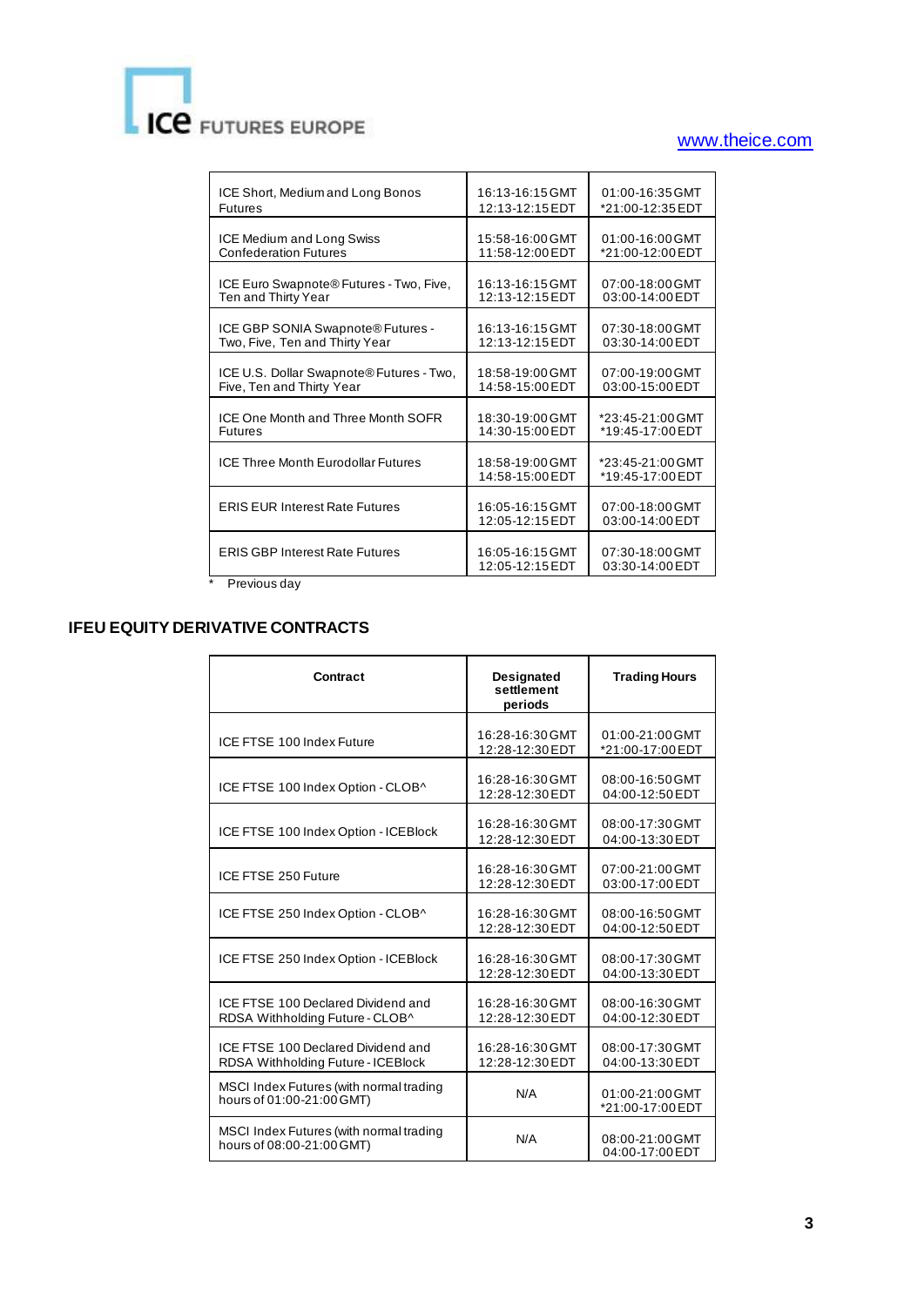# ICE FUTURES EUROPE

# [www.theice.com](file:///C:/Users/prattray/Desktop/www.theice.com)

| ICE Short, Medium and Long Bonos          | 16:13-16:15 GMT                    | 01:00-16:35 GMT                      |
|-------------------------------------------|------------------------------------|--------------------------------------|
| <b>Futures</b>                            | 12:13-12:15 EDT                    | *21:00-12:35 EDT                     |
| <b>ICE Medium and Long Swiss</b>          | 15:58-16:00 GMT                    | 01:00-16:00 GMT                      |
| <b>Confederation Futures</b>              | 11:58-12:00 EDT                    | *21:00-12:00 EDT                     |
| ICE Euro Swapnote® Futures - Two, Five,   | 16:13-16:15 GMT                    | 07:00-18:00 GMT                      |
| Ten and Thirty Year                       | 12:13-12:15 EDT                    | 03:00-14:00 EDT                      |
| ICE GBP SONIA Swapnote® Futures -         | 16:13-16:15 GMT                    | 07:30-18:00 GMT                      |
| Two, Five, Ten and Thirty Year            | 12:13-12:15 EDT                    | 03:30-14:00 EDT                      |
| ICE U.S. Dollar Swapnote® Futures - Two,  | 18:58-19:00 GMT                    | 07:00-19:00 GMT                      |
| Five, Ten and Thirty Year                 | 14:58-15:00 EDT                    | 03:00-15:00 EDT                      |
| ICE One Month and Three Month SOFR        | 18:30-19:00 GMT                    | *23:45-21:00 GMT                     |
| <b>Futures</b>                            | 14:30-15:00 EDT                    | *19:45-17:00 EDT                     |
| <b>ICE Three Month Eurodollar Futures</b> | 18:58-19:00 GMT<br>14:58-15:00 EDT | *23:45-21:00 GMT<br>*19:45-17:00 EDT |
| <b>ERIS EUR Interest Rate Futures</b>     | 16:05-16:15 GMT<br>12:05-12:15 EDT | 07:00-18:00 GMT<br>03:00-14:00 EDT   |
| <b>ERIS GBP Interest Rate Futures</b>     | 16:05-16:15 GMT<br>12:05-12:15 EDT | 07:30-18:00 GMT<br>03:30-14:00 EDT   |
| Previous day                              |                                    |                                      |

# **IFEU EQUITY DERIVATIVE CONTRACTS**

| Contract                                                                 | <b>Designated</b><br>settlement<br>periods | <b>Trading Hours</b>                |
|--------------------------------------------------------------------------|--------------------------------------------|-------------------------------------|
| ICE FTSE 100 Index Future                                                | 16:28-16:30 GMT<br>12:28-12:30 EDT         | 01:00-21:00 GMT<br>*21:00-17:00 EDT |
| ICE FTSE 100 Index Option - CLOB^                                        | 16:28-16:30 GMT<br>12:28-12:30 EDT         | 08:00-16:50 GMT<br>04:00-12:50 EDT  |
| ICE FTSE 100 Index Option - ICEBlock                                     | 16:28-16:30 GMT<br>12:28-12:30 EDT         | 08:00-17:30 GMT<br>04:00-13:30 EDT  |
| ICE FTSE 250 Future                                                      | 16:28-16:30 GMT<br>12:28-12:30 EDT         | 07:00-21:00 GMT<br>03:00-17:00 EDT  |
| ICE FTSE 250 Index Option - CLOB^                                        | 16:28-16:30 GMT<br>12:28-12:30 EDT         | 08:00-16:50 GMT<br>04:00-12:50 EDT  |
| ICE FTSE 250 Index Option - ICEBlock                                     | 16:28-16:30 GMT<br>12:28-12:30 EDT         | 08:00-17:30 GMT<br>04:00-13:30 EDT  |
| ICE FTSE 100 Declared Dividend and<br>RDSA Withholding Future - CLOB^    | 16:28-16:30 GMT<br>12:28-12:30 EDT         | 08:00-16:30 GMT<br>04:00-12:30 EDT  |
| ICE FTSE 100 Declared Dividend and<br>RDSA Withholding Future - ICEBlock | 16:28-16:30 GMT<br>12:28-12:30 EDT         | 08:00-17:30 GMT<br>04:00-13:30 EDT  |
| MSCI Index Futures (with normal trading<br>hours of 01:00-21:00 GMT)     | N/A                                        | 01:00-21:00 GMT<br>*21:00-17:00 EDT |
| MSCI Index Futures (with normal trading<br>hours of 08:00-21:00 GMT)     | N/A                                        | 08:00-21:00 GMT<br>04:00-17:00 EDT  |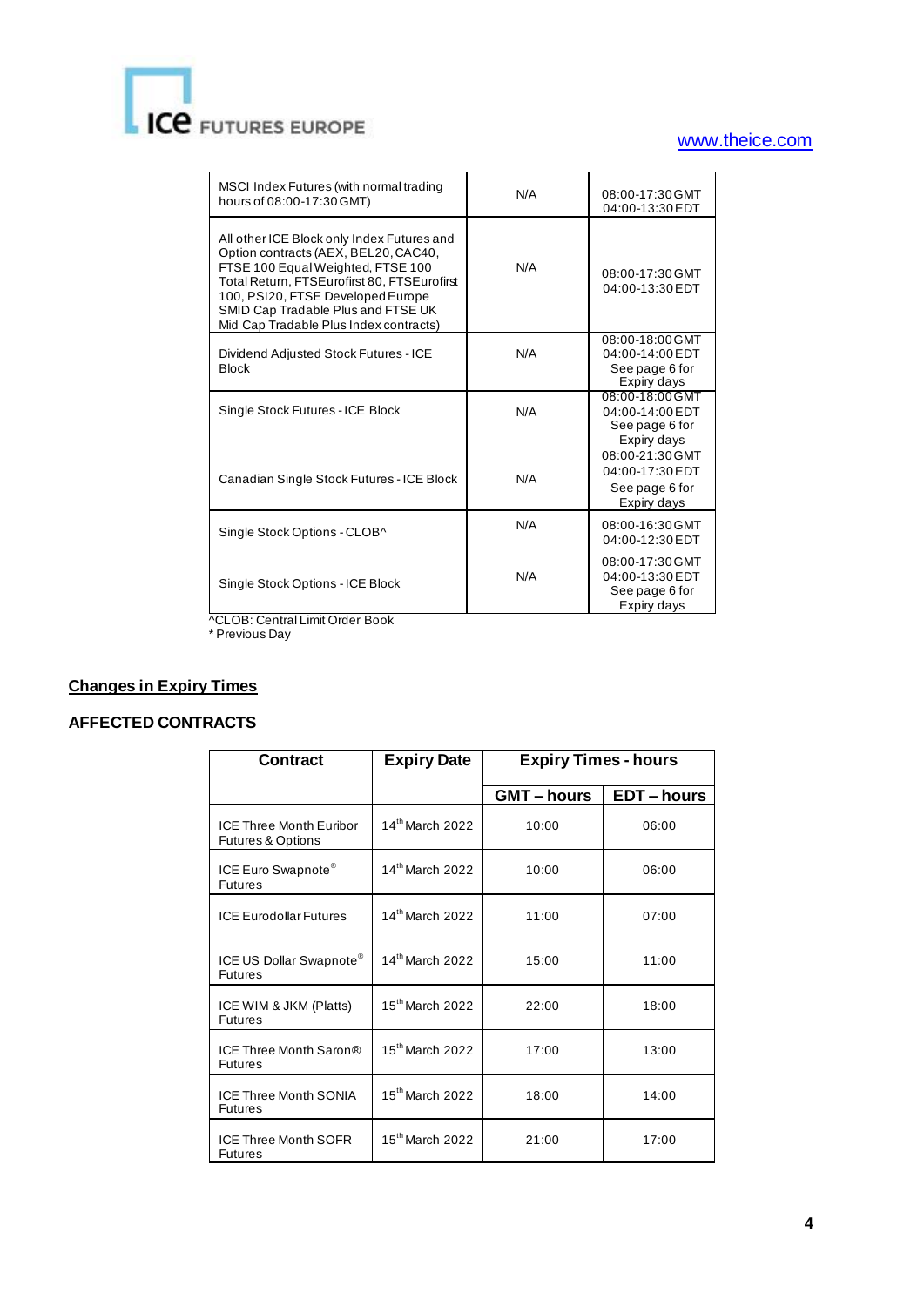# **ICE** FUTURES EUROPE

## [www.theice.com](file:///C:/Users/prattray/Desktop/www.theice.com)

| MSCI Index Futures (with normal trading<br>hours of 08:00-17:30 GMT)                                                                                                                                                                                                                        | N/A | 08:00-17:30 GMT<br>04:00-13:30 EDT                                  |
|---------------------------------------------------------------------------------------------------------------------------------------------------------------------------------------------------------------------------------------------------------------------------------------------|-----|---------------------------------------------------------------------|
| All other ICE Block only Index Futures and<br>Option contracts (AEX, BEL20, CAC40,<br>FTSE 100 Equal Weighted, FTSE 100<br>Total Return, FTSEurofirst 80, FTSEurofirst<br>100, PSI20, FTSE Developed Europe<br>SMID Cap Tradable Plus and FTSE UK<br>Mid Cap Tradable Plus Index contracts) | N/A | 08:00-17:30 GMT<br>04:00-13:30 EDT                                  |
| Dividend Adjusted Stock Futures - ICE<br><b>Block</b>                                                                                                                                                                                                                                       | N/A | 08:00-18:00 GMT<br>04:00-14:00 EDT<br>See page 6 for<br>Expiry days |
| Single Stock Futures - ICE Block                                                                                                                                                                                                                                                            | N/A | 08:00-18:00 GMT<br>04:00-14:00 EDT<br>See page 6 for<br>Expiry days |
| Canadian Single Stock Futures - ICE Block                                                                                                                                                                                                                                                   | N/A | 08:00-21:30 GMT<br>04:00-17:30 EDT<br>See page 6 for<br>Expiry days |
| Single Stock Options - CLOB^                                                                                                                                                                                                                                                                | N/A | 08:00-16:30 GMT<br>04:00-12:30 EDT                                  |
| Single Stock Options - ICE Block                                                                                                                                                                                                                                                            | N/A | 08:00-17:30 GMT<br>04:00-13:30 EDT<br>See page 6 for<br>Expiry days |

^CLOB: Central Limit Order Book

\* Previous Day

## **Changes in Expiry Times**

## **AFFECTED CONTRACTS**

| <b>Contract</b>                                                | <b>Expiry Date</b>          | <b>Expiry Times - hours</b> |                  |
|----------------------------------------------------------------|-----------------------------|-----------------------------|------------------|
|                                                                |                             | <b>GMT-hours</b>            | <b>EDT-hours</b> |
| <b>ICE Three Month Furibor</b><br><b>Futures &amp; Options</b> | $14^{\text{th}}$ March 2022 | 10:00                       | 06:00            |
| ICE Euro Swapnote <sup>®</sup><br><b>Futures</b>               | 14th March 2022             | 10:00                       | 06:00            |
| <b>ICF Furodollar Futures</b>                                  | 14th March 2022             | 11:00                       | 07:00            |
| ICE US Dollar Swapnote®<br><b>Futures</b>                      | $14^{\text{th}}$ March 2022 | 15:00                       | 11:00            |
| ICE WIM & JKM (Platts)<br><b>Futures</b>                       | $15^{\text{th}}$ March 2022 | 22:00                       | 18:00            |
| ICE Three Month Saron®<br><b>Futures</b>                       | $15th$ March 2022           | 17:00                       | 13:00            |
| <b>ICE Three Month SONIA</b><br><b>Futures</b>                 | $15th$ March 2022           | 18:00                       | 14:00            |
| <b>ICE Three Month SOFR</b><br><b>Futures</b>                  | $15th$ March 2022           | 21:00                       | 17:00            |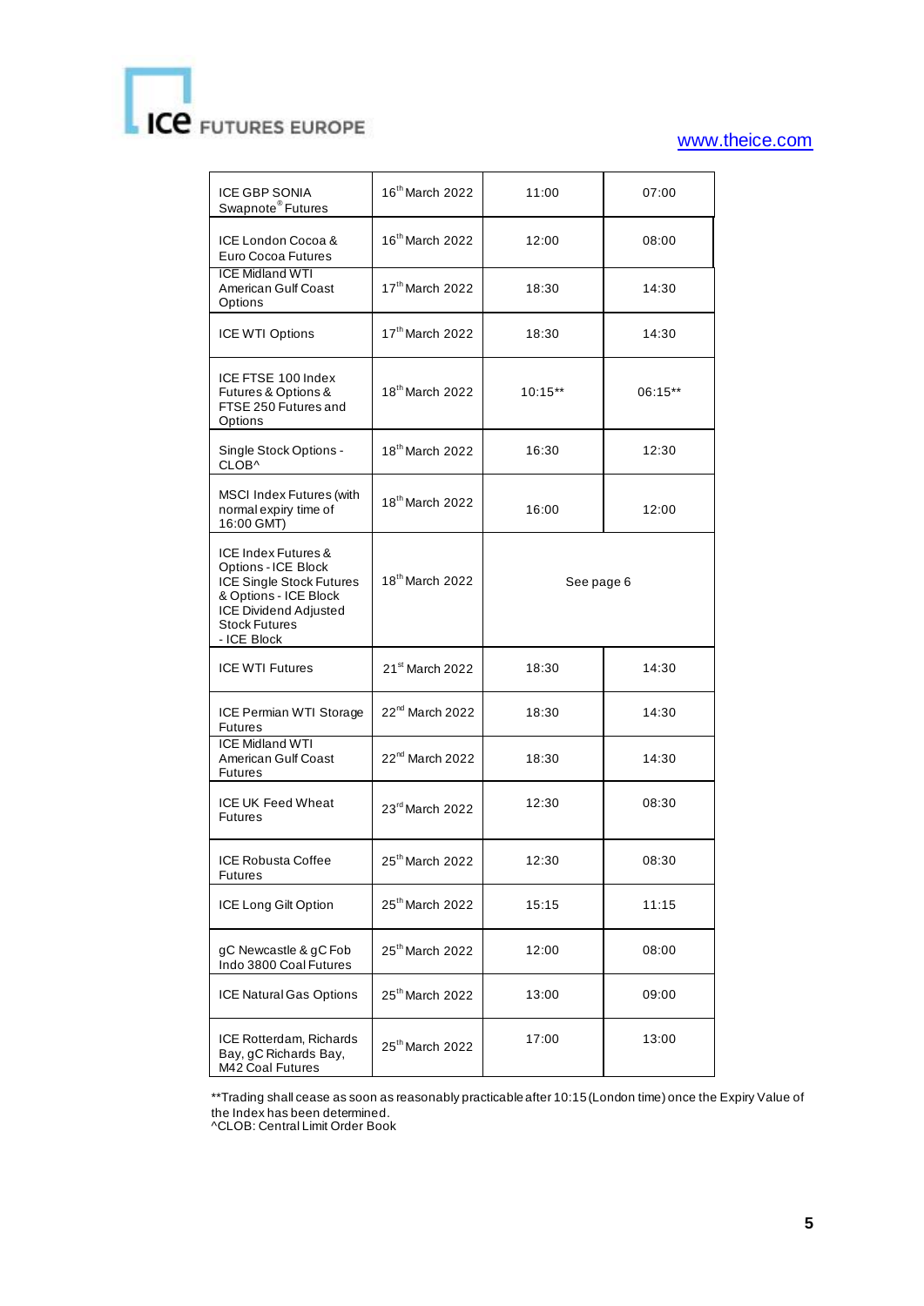# **CE** FUTURES EUROPE

## [www.theice.com](file:///C:/Users/prattray/Desktop/www.theice.com)

| <b>ICE GBP SONIA</b><br>Swapnote <sup>®</sup> Futures                                                                                                                         | 16 <sup>th</sup> March 2022 | 11:00      | 07:00   |
|-------------------------------------------------------------------------------------------------------------------------------------------------------------------------------|-----------------------------|------------|---------|
| ICE London Cocoa &<br>Euro Cocoa Futures                                                                                                                                      | 16 <sup>th</sup> March 2022 | 12:00      | 08:00   |
| <b>ICE Midland WTI</b><br>American Gulf Coast<br>Options                                                                                                                      | 17th March 2022             | 18:30      | 14:30   |
| ICE WTI Options                                                                                                                                                               | 17th March 2022             | 18:30      | 14:30   |
| ICE FTSE 100 Index<br>Futures & Options &<br>FTSE 250 Futures and<br>Options                                                                                                  | 18 <sup>th</sup> March 2022 | $10:15**$  | 06:15** |
| Single Stock Options -<br>CLOB^                                                                                                                                               | 18 <sup>th</sup> March 2022 | 16:30      | 12:30   |
| <b>MSCI Index Futures (with</b><br>normal expiry time of<br>16:00 GMT)                                                                                                        | 18 <sup>th</sup> March 2022 | 16:00      | 12:00   |
| ICE Index Futures &<br>Options - ICE Block<br><b>ICE Single Stock Futures</b><br>& Options - ICE Block<br><b>ICE Dividend Adjusted</b><br><b>Stock Futures</b><br>- ICE Block | 18 <sup>th</sup> March 2022 | See page 6 |         |
| <b>ICE WTI Futures</b>                                                                                                                                                        | 21 <sup>st</sup> March 2022 | 18:30      | 14:30   |
| ICE Permian WTI Storage<br><b>Futures</b>                                                                                                                                     | 22 <sup>nd</sup> March 2022 | 18:30      | 14:30   |
| <b>ICE Midland WTI</b><br>American Gulf Coast<br><b>Futures</b>                                                                                                               | 22 <sup>nd</sup> March 2022 | 18:30      | 14:30   |
| <b>ICE UK Feed Wheat</b><br><b>Futures</b>                                                                                                                                    | 23rd March 2022             | 12:30      | 08:30   |
| <b>ICE Robusta Coffee</b><br><b>Futures</b>                                                                                                                                   | 25 <sup>th</sup> March 2022 | 12:30      | 08:30   |
| ICE Long Gilt Option                                                                                                                                                          | 25 <sup>th</sup> March 2022 | 15:15      | 11:15   |
| gC Newcastle & gC Fob<br>Indo 3800 Coal Futures                                                                                                                               | 25 <sup>th</sup> March 2022 | 12:00      | 08:00   |
| ICE Natural Gas Options                                                                                                                                                       | 25 <sup>th</sup> March 2022 | 13:00      | 09:00   |
| ICE Rotterdam, Richards<br>Bay, gC Richards Bay,<br>M42 Coal Futures                                                                                                          | 25 <sup>th</sup> March 2022 | 17:00      | 13:00   |

\*\*Trading shall cease as soon as reasonably practicable after 10:15 (London time) once the Expiry Value of the Index has been determined.

^CLOB: Central Limit Order Book